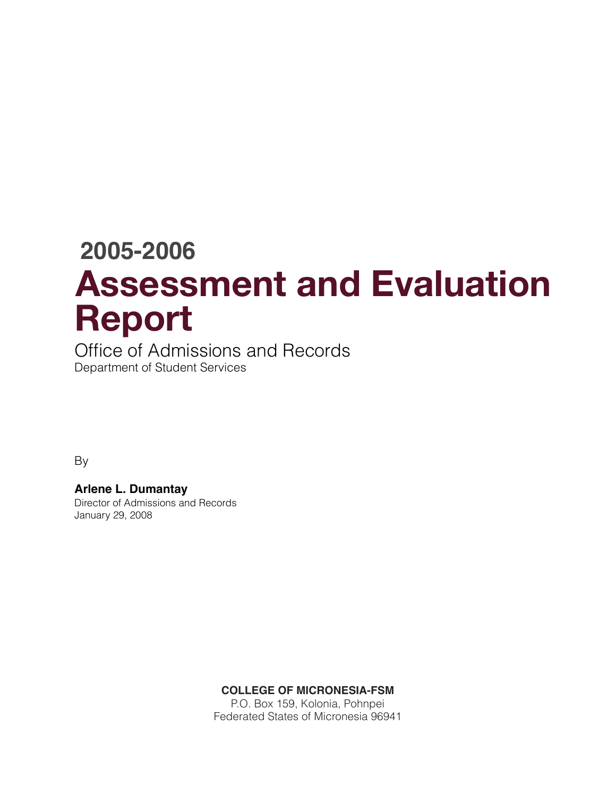# **2005-2006 Assessment and Evaluation Report**

Office of Admissions and Records Department of Student Services

By

**Arlene L. Dumantay** Director of Admissions and Records January 29, 2008

**COLLEGE OF MICRONESIA-FSM**

P.O. Box 159, Kolonia, Pohnpei Federated States of Micronesia 96941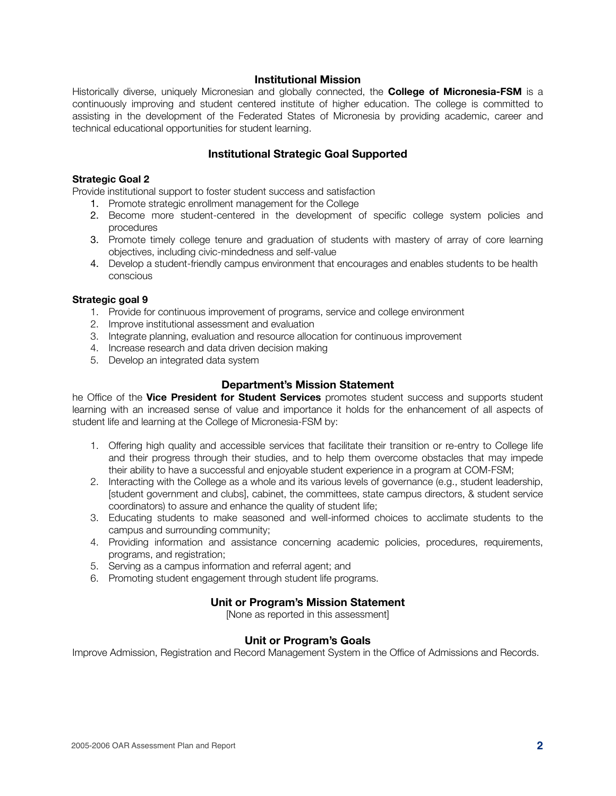# **Institutional Mission**

Historically diverse, uniquely Micronesian and globally connected, the **College of Micronesia-FSM** is a continuously improving and student centered institute of higher education. The college is committed to assisting in the development of the Federated States of Micronesia by providing academic, career and technical educational opportunities for student learning.

# **Institutional Strategic Goal Supported**

# **Strategic Goal 2**

Provide institutional support to foster student success and satisfaction

- 1. Promote strategic enrollment management for the College
- 2. Become more student-centered in the development of specific college system policies and procedures
- 3. Promote timely college tenure and graduation of students with mastery of array of core learning objectives, including civic-mindedness and self-value
- 4. Develop a student-friendly campus environment that encourages and enables students to be health conscious

# **Strategic goal 9**

- 1. Provide for continuous improvement of programs, service and college environment
- 2. Improve institutional assessment and evaluation
- 3. Integrate planning, evaluation and resource allocation for continuous improvement
- 4. Increase research and data driven decision making
- 5. Develop an integrated data system

# **Department's Mission Statement**

he Office of the **Vice President for Student Services** promotes student success and supports student learning with an increased sense of value and importance it holds for the enhancement of all aspects of student life and learning at the College of Micronesia-FSM by:

- 1. Offering high quality and accessible services that facilitate their transition or re-entry to College life and their progress through their studies, and to help them overcome obstacles that may impede their ability to have a successful and enjoyable student experience in a program at COM-FSM;
- 2. Interacting with the College as a whole and its various levels of governance (e.g., student leadership, [student government and clubs], cabinet, the committees, state campus directors, & student service coordinators) to assure and enhance the quality of student life;
- 3. Educating students to make seasoned and well-informed choices to acclimate students to the campus and surrounding community;
- 4. Providing information and assistance concerning academic policies, procedures, requirements, programs, and registration;
- 5. Serving as a campus information and referral agent; and
- 6. Promoting student engagement through student life programs.

# **Unit or Program's Mission Statement**

[None as reported in this assessment]

# **Unit or Program's Goals**

Improve Admission, Registration and Record Management System in the Office of Admissions and Records.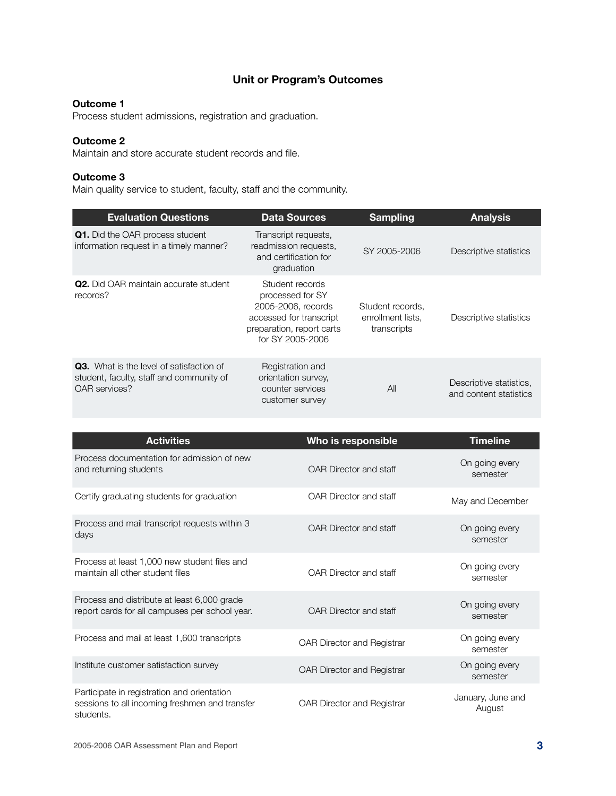# **Unit or Program's Outcomes**

# **Outcome 1**

Process student admissions, registration and graduation.

# **Outcome 2**

Maintain and store accurate student records and file.

# **Outcome 3**

Main quality service to student, faculty, staff and the community.

| <b>Evaluation Questions</b>                                                                                  | <b>Data Sources</b>                                                                                                                   | <b>Sampling</b>                                      | <b>Analysis</b>                                   |
|--------------------------------------------------------------------------------------------------------------|---------------------------------------------------------------------------------------------------------------------------------------|------------------------------------------------------|---------------------------------------------------|
| <b>Q1.</b> Did the OAR process student<br>information request in a timely manner?                            | Transcript requests,<br>readmission requests,<br>and certification for<br>graduation                                                  | SY 2005-2006                                         | Descriptive statistics                            |
| <b>Q2.</b> Did OAR maintain accurate student<br>records?                                                     | Student records<br>processed for SY<br>2005-2006, records<br>accessed for transcript<br>preparation, report carts<br>for SY 2005-2006 | Student records,<br>enrollment lists.<br>transcripts | Descriptive statistics                            |
| <b>Q3.</b> What is the level of satisfaction of<br>student, faculty, staff and community of<br>OAR services? | Registration and<br>orientation survey.<br>counter services<br>customer survey                                                        | All                                                  | Descriptive statistics,<br>and content statistics |

| <b>Activities</b>                                                                                          | Who is responsible                | <b>Timeline</b>             |
|------------------------------------------------------------------------------------------------------------|-----------------------------------|-----------------------------|
| Process documentation for admission of new<br>and returning students                                       | OAR Director and staff            | On going every<br>semester  |
| Certify graduating students for graduation                                                                 | OAR Director and staff            | May and December            |
| Process and mail transcript requests within 3<br>days                                                      | OAR Director and staff            | On going every<br>semester  |
| Process at least 1,000 new student files and<br>maintain all other student files                           | OAR Director and staff            | On going every<br>semester  |
| Process and distribute at least 6,000 grade<br>report cards for all campuses per school year.              | OAR Director and staff            | On going every<br>semester  |
| Process and mail at least 1,600 transcripts                                                                | <b>OAR Director and Registrar</b> | On going every<br>semester  |
| Institute customer satisfaction survey                                                                     | <b>OAR Director and Registrar</b> | On going every<br>semester  |
| Participate in registration and orientation<br>sessions to all incoming freshmen and transfer<br>students. | <b>OAR Director and Registrar</b> | January, June and<br>August |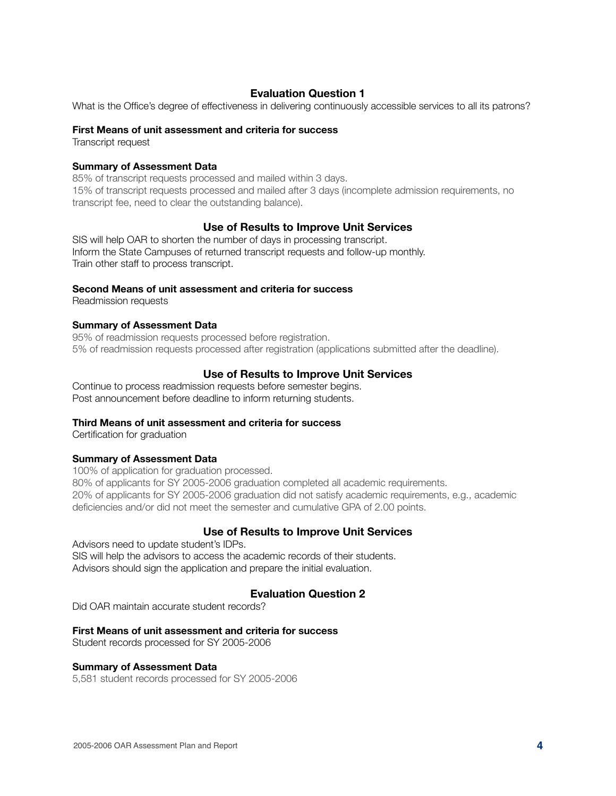# **Evaluation Question 1**

What is the Office's degree of effectiveness in delivering continuously accessible services to all its patrons?

#### **First Means of unit assessment and criteria for success**

Transcript request

# **Summary of Assessment Data**

85% of transcript requests processed and mailed within 3 days. 15% of transcript requests processed and mailed after 3 days (incomplete admission requirements, no transcript fee, need to clear the outstanding balance).

# **Use of Results to Improve Unit Services**

SIS will help OAR to shorten the number of days in processing transcript. Inform the State Campuses of returned transcript requests and follow-up monthly. Train other staff to process transcript.

#### **Second Means of unit assessment and criteria for success**

Readmission requests

#### **Summary of Assessment Data**

95% of readmission requests processed before registration. 5% of readmission requests processed after registration (applications submitted after the deadline).

# **Use of Results to Improve Unit Services**

Continue to process readmission requests before semester begins. Post announcement before deadline to inform returning students.

#### **Third Means of unit assessment and criteria for success**

Certification for graduation

# **Summary of Assessment Data**

100% of application for graduation processed. 80% of applicants for SY 2005-2006 graduation completed all academic requirements. 20% of applicants for SY 2005-2006 graduation did not satisfy academic requirements, e.g., academic deficiencies and/or did not meet the semester and cumulative GPA of 2.00 points.

# **Use of Results to Improve Unit Services**

Advisors need to update student's IDPs. SIS will help the advisors to access the academic records of their students. Advisors should sign the application and prepare the initial evaluation.

# **Evaluation Question 2**

Did OAR maintain accurate student records?

# **First Means of unit assessment and criteria for success**

Student records processed for SY 2005-2006

#### **Summary of Assessment Data**

5,581 student records processed for SY 2005-2006